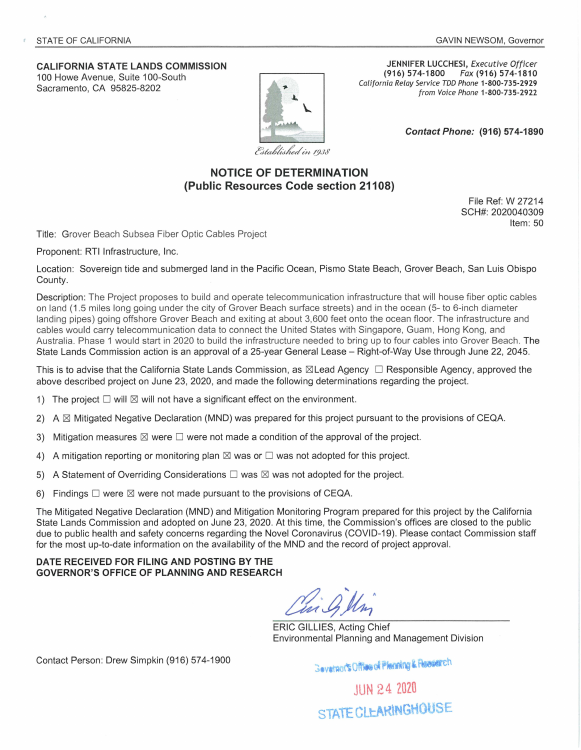## **CALIFORNIA STATE LANDS COMMISSION**  100 Howe Avenue, Suite 100-South

Sacramento, CA 95825-8202



**JENNIFER LUCCHESI, Executive Officer**<br>(916) 574-1800 *Fax* (916) 574-1810 **(916) 574-1800** Fax **(916) 574-1810**  California Relay Service TDD Phone **1-800-735-2929**  from Voice Phone **1-800-735-2922** 

**Contact Phone: (916) 57 4-1890** 

Established in 1938

## **NOTICE OF DETERMINATION (Public Resources Code section 21108)**

File Ref: W 27214 SCH#: 2020040309 Item: 50

Title: Grover Beach Subsea Fiber Optic Cables Project

Proponent: RTI Infrastructure, Inc.

Location: Sovereign tide and submerged land in the Pacific Ocean, Pismo State Beach, Grover Beach, San Luis Obispo County.

Description: The Project proposes to build and operate telecommunication infrastructure that will house fiber optic cables on land (1 .5 miles long going under the city of Grover Beach surface streets) and in the ocean (5- to 6-inch diameter landing pipes) going offshore Grover Beach and exiting at about 3,600 feet onto the ocean floor. The infrastructure and cables would carry telecommunication data to connect the United States with Singapore, Guam , Hong Kong, and Australia. Phase 1 would start in 2020 to build the infrastructure needed to bring up to four cables into Grover Beach. The State Lands Commission action is an approval of a 25-year General Lease - Right-of-Way Use through June 22, 2045.

This is to advise that the California State Lands Commission, as  $\boxtimes$  Lead Agency  $\Box$  Responsible Agency, approved the above described project on June 23, 2020, and made the following determinations regarding the project.

- 1) The project  $\Box$  will  $\boxtimes$  will not have a significant effect on the environment.
- 2) A  $\boxtimes$  Mitigated Negative Declaration (MND) was prepared for this project pursuant to the provisions of CEQA.
- 3) Mitigation measures  $\boxtimes$  were  $\square$  were not made a condition of the approval of the project.
- 4) A mitigation reporting or monitoring plan  $\boxtimes$  was or  $\square$  was not adopted for this project.
- 5) A Statement of Overriding Considerations  $\square$  was  $\boxtimes$  was not adopted for the project.
- 6) Findings  $\square$  were  $\boxtimes$  were not made pursuant to the provisions of CEQA.

The Mitigated Negative Declaration (MND) and Mitigation Monitoring Program prepared for this project by the California State Lands Commission and adopted on June 23, 2020. At this time, the Commission's offices are closed to the public due to public health and safety concerns regarding the Novel Coronavirus (COVID-19). Please contact Commission staff for the most up-to-date information on the availability of the MND and the record of project approval.

**DATE RECEIVED FOR FILING AND POSTING BY THE GOVERNOR'S OFFICE OF PLANNING AND RESEARCH** 

ERIC GILLIES, Acting Chief Environmental Planning and Management Division

Contact Person: Drew Simpkin (916) 57 4-1900

**Geverants Office of Plenning & Receiench** 

JUN 24 2020 STATE CLEARINGHOUSE